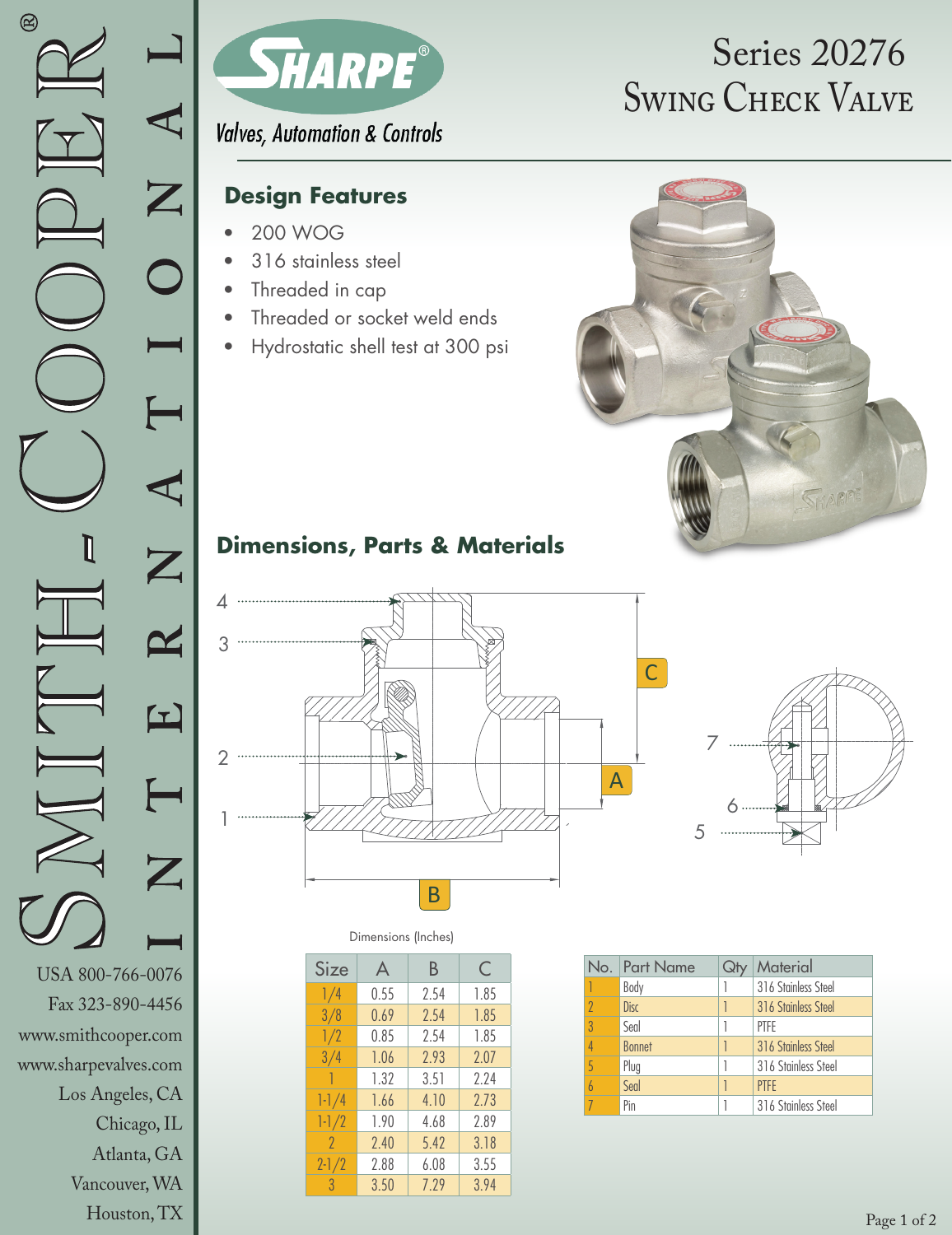

**Valves, Automation & Controls** 

### **Design Features**

- 200 WOG
- 316 stainless steel
- Threaded in cap
- Threaded or socket weld ends
- Hydrostatic shell test at 300 psi

# SWING CHECK VALVE Series 20276



## **Dimensions, Parts & Materials**





Dimensions (Inches)

| Size      | A    | В    | C    |
|-----------|------|------|------|
| 1/4       | 0.55 | 2.54 | 1.85 |
| 3/8       | 0.69 | 2.54 | 1.85 |
| 1/2       | 0.85 | 2.54 | 1.85 |
| 3/4       | 1.06 | 2.93 | 2.07 |
| 1         | 1.32 | 3.51 | 2.24 |
| $1 - 1/4$ | 1.66 | 4.10 | 2.73 |
| $1 - 1/2$ | 1.90 | 4.68 | 2.89 |
| $\gamma$  | 7.40 | 5.42 | 3.18 |
| $2 - 1/2$ | 2.88 | 6.08 | 3.55 |
| 3         | 3.50 | 7.79 | 3.94 |

| No.            | <b>Part Name</b> | Material            |
|----------------|------------------|---------------------|
|                | Body             | 316 Stainless Steel |
| $\overline{2}$ | <b>Disc</b>      | 316 Stainless Steel |
| 3              | Seal             | PTFF                |
| $\overline{4}$ | <b>Bonnet</b>    | 316 Stainless Steel |
| 5              | Plug             | 316 Stainless Steel |
| $\overline{b}$ | Seal             | <b>PTFF</b>         |
|                | Pin              | 316 Stainless Steel |